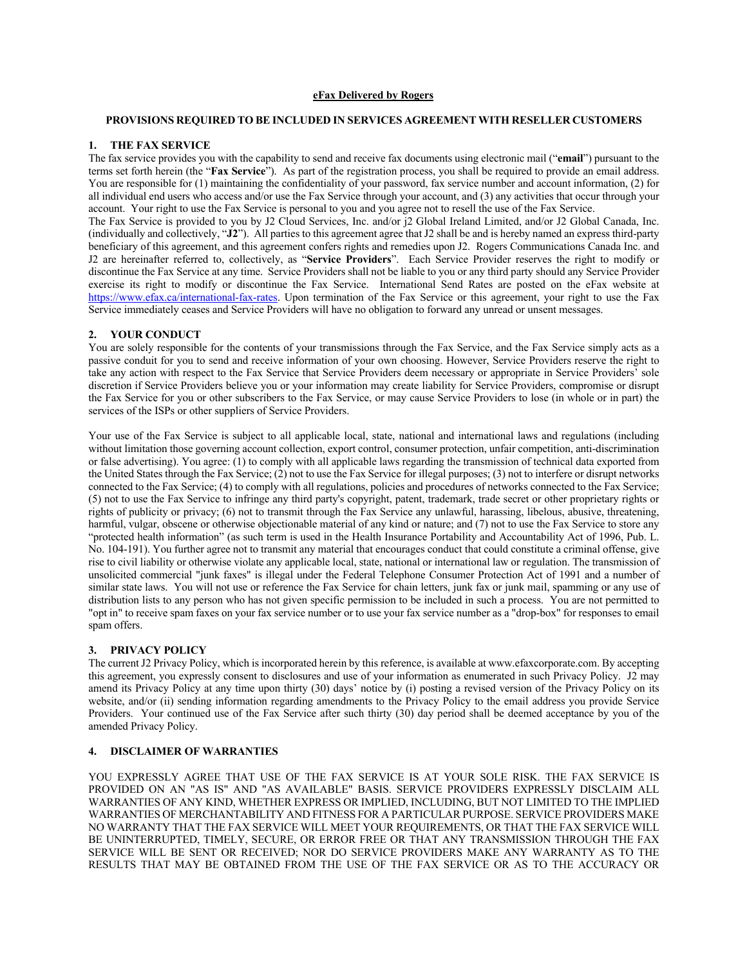# **eFax Delivered by Rogers**

# **PROVISIONS REQUIRED TO BE INCLUDED IN SERVICES AGREEMENT WITH RESELLER CUSTOMERS**

### **1. THE FAX SERVICE**

The fax service provides you with the capability to send and receive fax documents using electronic mail ("**email**") pursuant to the terms set forth herein (the "**Fax Service**"). As part of the registration process, you shall be required to provide an email address. You are responsible for (1) maintaining the confidentiality of your password, fax service number and account information, (2) for all individual end users who access and/or use the Fax Service through your account, and (3) any activities that occur through your account. Your right to use the Fax Service is personal to you and you agree not to resell the use of the Fax Service. The Fax Service is provided to you by J2 Cloud Services, Inc. and/or j2 Global Ireland Limited, and/or J2 Global Canada, Inc. (individually and collectively, "**J2**"). All parties to this agreement agree that J2 shall be and is hereby named an express third-party beneficiary of this agreement, and this agreement confers rights and remedies upon J2. Rogers Communications Canada Inc. and J2 are hereinafter referred to, collectively, as "**Service Providers**". Each Service Provider reserves the right to modify or discontinue the Fax Service at any time. Service Providers shall not be liable to you or any third party should any Service Provider exercise its right to modify or discontinue the Fax Service. International Send Rates are posted on the eFax website at https://www.efax.ca/international-fax-rates. Upon termination of the Fax Service or this agreement, your right to use the Fax Service immediately ceases and Service Providers will have no obligation to forward any unread or unsent messages.

### **2. YOUR CONDUCT**

You are solely responsible for the contents of your transmissions through the Fax Service, and the Fax Service simply acts as a passive conduit for you to send and receive information of your own choosing. However, Service Providers reserve the right to take any action with respect to the Fax Service that Service Providers deem necessary or appropriate in Service Providers' sole discretion if Service Providers believe you or your information may create liability for Service Providers, compromise or disrupt the Fax Service for you or other subscribers to the Fax Service, or may cause Service Providers to lose (in whole or in part) the services of the ISPs or other suppliers of Service Providers.

Your use of the Fax Service is subject to all applicable local, state, national and international laws and regulations (including without limitation those governing account collection, export control, consumer protection, unfair competition, anti-discrimination or false advertising). You agree: (1) to comply with all applicable laws regarding the transmission of technical data exported from the United States through the Fax Service; (2) not to use the Fax Service for illegal purposes; (3) not to interfere or disrupt networks connected to the Fax Service; (4) to comply with all regulations, policies and procedures of networks connected to the Fax Service; (5) not to use the Fax Service to infringe any third party's copyright, patent, trademark, trade secret or other proprietary rights or rights of publicity or privacy; (6) not to transmit through the Fax Service any unlawful, harassing, libelous, abusive, threatening, harmful, vulgar, obscene or otherwise objectionable material of any kind or nature; and (7) not to use the Fax Service to store any "protected health information" (as such term is used in the Health Insurance Portability and Accountability Act of 1996, Pub. L. No. 104-191). You further agree not to transmit any material that encourages conduct that could constitute a criminal offense, give rise to civil liability or otherwise violate any applicable local, state, national or international law or regulation. The transmission of unsolicited commercial "junk faxes" is illegal under the Federal Telephone Consumer Protection Act of 1991 and a number of similar state laws. You will not use or reference the Fax Service for chain letters, junk fax or junk mail, spamming or any use of distribution lists to any person who has not given specific permission to be included in such a process. You are not permitted to "opt in" to receive spam faxes on your fax service number or to use your fax service number as a "drop-box" for responses to email spam offers.

#### **3. PRIVACY POLICY**

The current J2 Privacy Policy, which is incorporated herein by this reference, is available at www.efaxcorporate.com. By accepting this agreement, you expressly consent to disclosures and use of your information as enumerated in such Privacy Policy. J2 may amend its Privacy Policy at any time upon thirty (30) days' notice by (i) posting a revised version of the Privacy Policy on its website, and/or (ii) sending information regarding amendments to the Privacy Policy to the email address you provide Service Providers. Your continued use of the Fax Service after such thirty (30) day period shall be deemed acceptance by you of the amended Privacy Policy.

# **4. DISCLAIMER OF WARRANTIES**

YOU EXPRESSLY AGREE THAT USE OF THE FAX SERVICE IS AT YOUR SOLE RISK. THE FAX SERVICE IS PROVIDED ON AN "AS IS" AND "AS AVAILABLE" BASIS. SERVICE PROVIDERS EXPRESSLY DISCLAIM ALL WARRANTIES OF ANY KIND, WHETHER EXPRESS OR IMPLIED, INCLUDING, BUT NOT LIMITED TO THE IMPLIED WARRANTIES OF MERCHANTABILITY AND FITNESS FOR A PARTICULAR PURPOSE. SERVICE PROVIDERS MAKE NO WARRANTY THAT THE FAX SERVICE WILL MEET YOUR REQUIREMENTS, OR THAT THE FAX SERVICE WILL BE UNINTERRUPTED, TIMELY, SECURE, OR ERROR FREE OR THAT ANY TRANSMISSION THROUGH THE FAX SERVICE WILL BE SENT OR RECEIVED; NOR DO SERVICE PROVIDERS MAKE ANY WARRANTY AS TO THE RESULTS THAT MAY BE OBTAINED FROM THE USE OF THE FAX SERVICE OR AS TO THE ACCURACY OR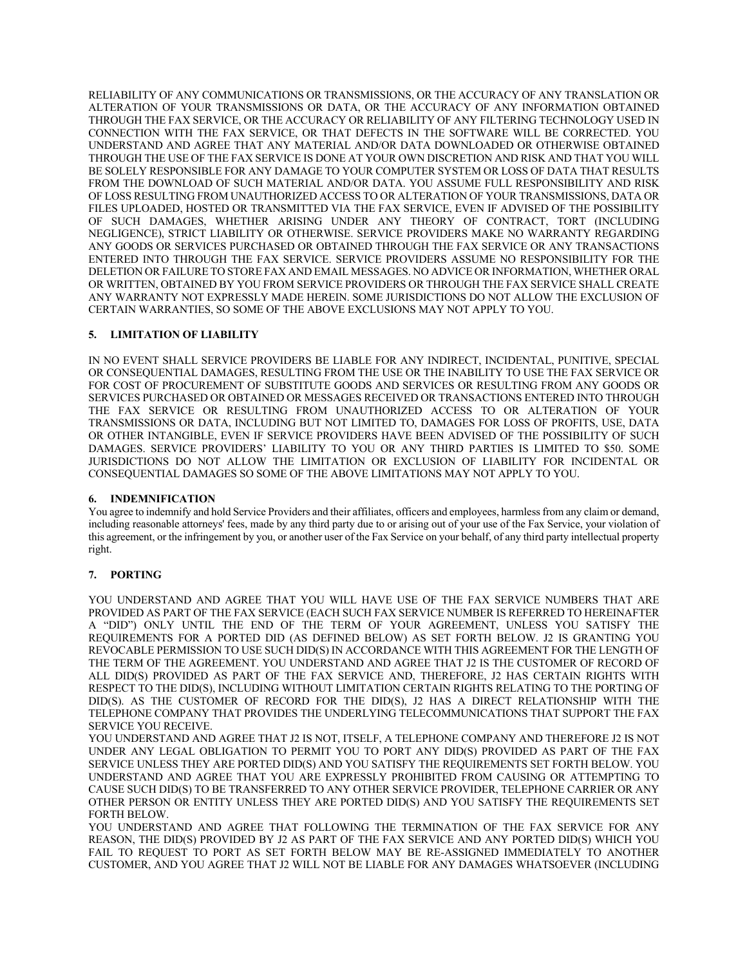RELIABILITY OF ANY COMMUNICATIONS OR TRANSMISSIONS, OR THE ACCURACY OF ANY TRANSLATION OR ALTERATION OF YOUR TRANSMISSIONS OR DATA, OR THE ACCURACY OF ANY INFORMATION OBTAINED THROUGH THE FAX SERVICE, OR THE ACCURACY OR RELIABILITY OF ANY FILTERING TECHNOLOGY USED IN CONNECTION WITH THE FAX SERVICE, OR THAT DEFECTS IN THE SOFTWARE WILL BE CORRECTED. YOU UNDERSTAND AND AGREE THAT ANY MATERIAL AND/OR DATA DOWNLOADED OR OTHERWISE OBTAINED THROUGH THE USE OF THE FAX SERVICE IS DONE AT YOUR OWN DISCRETION AND RISK AND THAT YOU WILL BE SOLELY RESPONSIBLE FOR ANY DAMAGE TO YOUR COMPUTER SYSTEM OR LOSS OF DATA THAT RESULTS FROM THE DOWNLOAD OF SUCH MATERIAL AND/OR DATA. YOU ASSUME FULL RESPONSIBILITY AND RISK OF LOSS RESULTING FROM UNAUTHORIZED ACCESS TO OR ALTERATION OF YOUR TRANSMISSIONS, DATA OR FILES UPLOADED, HOSTED OR TRANSMITTED VIA THE FAX SERVICE, EVEN IF ADVISED OF THE POSSIBILITY OF SUCH DAMAGES, WHETHER ARISING UNDER ANY THEORY OF CONTRACT, TORT (INCLUDING NEGLIGENCE), STRICT LIABILITY OR OTHERWISE. SERVICE PROVIDERS MAKE NO WARRANTY REGARDING ANY GOODS OR SERVICES PURCHASED OR OBTAINED THROUGH THE FAX SERVICE OR ANY TRANSACTIONS ENTERED INTO THROUGH THE FAX SERVICE. SERVICE PROVIDERS ASSUME NO RESPONSIBILITY FOR THE DELETION OR FAILURE TO STORE FAX AND EMAIL MESSAGES. NO ADVICE OR INFORMATION, WHETHER ORAL OR WRITTEN, OBTAINED BY YOU FROM SERVICE PROVIDERS OR THROUGH THE FAX SERVICE SHALL CREATE ANY WARRANTY NOT EXPRESSLY MADE HEREIN. SOME JURISDICTIONS DO NOT ALLOW THE EXCLUSION OF CERTAIN WARRANTIES, SO SOME OF THE ABOVE EXCLUSIONS MAY NOT APPLY TO YOU.

# **5. LIMITATION OF LIABILITY**

IN NO EVENT SHALL SERVICE PROVIDERS BE LIABLE FOR ANY INDIRECT, INCIDENTAL, PUNITIVE, SPECIAL OR CONSEQUENTIAL DAMAGES, RESULTING FROM THE USE OR THE INABILITY TO USE THE FAX SERVICE OR FOR COST OF PROCUREMENT OF SUBSTITUTE GOODS AND SERVICES OR RESULTING FROM ANY GOODS OR SERVICES PURCHASED OR OBTAINED OR MESSAGES RECEIVED OR TRANSACTIONS ENTERED INTO THROUGH THE FAX SERVICE OR RESULTING FROM UNAUTHORIZED ACCESS TO OR ALTERATION OF YOUR TRANSMISSIONS OR DATA, INCLUDING BUT NOT LIMITED TO, DAMAGES FOR LOSS OF PROFITS, USE, DATA OR OTHER INTANGIBLE, EVEN IF SERVICE PROVIDERS HAVE BEEN ADVISED OF THE POSSIBILITY OF SUCH DAMAGES. SERVICE PROVIDERS' LIABILITY TO YOU OR ANY THIRD PARTIES IS LIMITED TO \$50. SOME JURISDICTIONS DO NOT ALLOW THE LIMITATION OR EXCLUSION OF LIABILITY FOR INCIDENTAL OR CONSEQUENTIAL DAMAGES SO SOME OF THE ABOVE LIMITATIONS MAY NOT APPLY TO YOU.

# **6. INDEMNIFICATION**

You agree to indemnify and hold Service Providers and their affiliates, officers and employees, harmless from any claim or demand, including reasonable attorneys' fees, made by any third party due to or arising out of your use of the Fax Service, your violation of this agreement, or the infringement by you, or another user of the Fax Service on your behalf, of any third party intellectual property right.

# **7. PORTING**

YOU UNDERSTAND AND AGREE THAT YOU WILL HAVE USE OF THE FAX SERVICE NUMBERS THAT ARE PROVIDED AS PART OF THE FAX SERVICE (EACH SUCH FAX SERVICE NUMBER IS REFERRED TO HEREINAFTER A "DID") ONLY UNTIL THE END OF THE TERM OF YOUR AGREEMENT, UNLESS YOU SATISFY THE REQUIREMENTS FOR A PORTED DID (AS DEFINED BELOW) AS SET FORTH BELOW. J2 IS GRANTING YOU REVOCABLE PERMISSION TO USE SUCH DID(S) IN ACCORDANCE WITH THIS AGREEMENT FOR THE LENGTH OF THE TERM OF THE AGREEMENT. YOU UNDERSTAND AND AGREE THAT J2 IS THE CUSTOMER OF RECORD OF ALL DID(S) PROVIDED AS PART OF THE FAX SERVICE AND, THEREFORE, J2 HAS CERTAIN RIGHTS WITH RESPECT TO THE DID(S), INCLUDING WITHOUT LIMITATION CERTAIN RIGHTS RELATING TO THE PORTING OF DID(S). AS THE CUSTOMER OF RECORD FOR THE DID(S), J2 HAS A DIRECT RELATIONSHIP WITH THE TELEPHONE COMPANY THAT PROVIDES THE UNDERLYING TELECOMMUNICATIONS THAT SUPPORT THE FAX SERVICE YOU RECEIVE.

YOU UNDERSTAND AND AGREE THAT J2 IS NOT, ITSELF, A TELEPHONE COMPANY AND THEREFORE J2 IS NOT UNDER ANY LEGAL OBLIGATION TO PERMIT YOU TO PORT ANY DID(S) PROVIDED AS PART OF THE FAX SERVICE UNLESS THEY ARE PORTED DID(S) AND YOU SATISFY THE REQUIREMENTS SET FORTH BELOW. YOU UNDERSTAND AND AGREE THAT YOU ARE EXPRESSLY PROHIBITED FROM CAUSING OR ATTEMPTING TO CAUSE SUCH DID(S) TO BE TRANSFERRED TO ANY OTHER SERVICE PROVIDER, TELEPHONE CARRIER OR ANY OTHER PERSON OR ENTITY UNLESS THEY ARE PORTED DID(S) AND YOU SATISFY THE REQUIREMENTS SET FORTH BELOW.

YOU UNDERSTAND AND AGREE THAT FOLLOWING THE TERMINATION OF THE FAX SERVICE FOR ANY REASON, THE DID(S) PROVIDED BY J2 AS PART OF THE FAX SERVICE AND ANY PORTED DID(S) WHICH YOU FAIL TO REQUEST TO PORT AS SET FORTH BELOW MAY BE RE-ASSIGNED IMMEDIATELY TO ANOTHER CUSTOMER, AND YOU AGREE THAT J2 WILL NOT BE LIABLE FOR ANY DAMAGES WHATSOEVER (INCLUDING